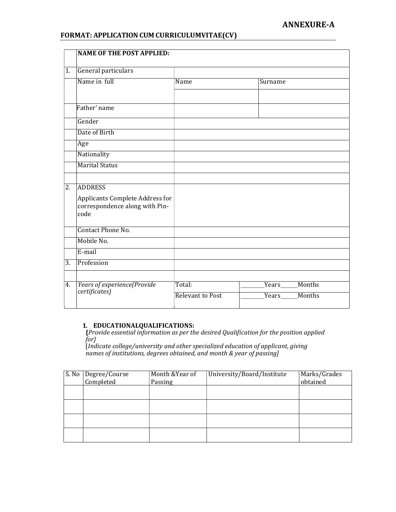# ANNEXURE-A

### FORMAT: APPLICATION CUM CURRICULUMVITAE(CV)

|                  | <b>NAME OF THE POST APPLIED:</b>                                                            |                         |                 |
|------------------|---------------------------------------------------------------------------------------------|-------------------------|-----------------|
| $\overline{1}$ . | General particulars                                                                         |                         |                 |
|                  | Name in full                                                                                | Name                    | Surname         |
|                  | Father' name                                                                                |                         |                 |
|                  | Gender                                                                                      |                         |                 |
|                  | Date of Birth                                                                               |                         |                 |
|                  | Age                                                                                         |                         |                 |
|                  | Nationality                                                                                 |                         |                 |
|                  | <b>Marital Status</b>                                                                       |                         |                 |
|                  |                                                                                             |                         |                 |
| $\overline{2}$ . | <b>ADDRESS</b><br>Applicants Complete Address for<br>correspondence along with Pin-<br>code |                         |                 |
|                  | Contact Phone No.                                                                           |                         |                 |
|                  | Mobile No.                                                                                  |                         |                 |
|                  | E-mail                                                                                      |                         |                 |
| $\overline{3}$ . | Profession                                                                                  |                         |                 |
| 4.               | Years of experience(Provide<br>certificates)                                                | Total:                  | Months<br>Years |
|                  |                                                                                             | <b>Relevant to Post</b> | Months          |

#### 1. EDUCATIONALQUALIFICATIONS:

{Provide essential information as per the desired Qualification for the position applied for}

[Indicate college/university and other specialized education of applicant, giving names of institutions, degrees obtained, and month & year of passing]

| S. No | Degree/Course | Month & Year of | University/Board/Institute | Marks/Grades |
|-------|---------------|-----------------|----------------------------|--------------|
|       | Completed     | Passing         |                            | obtained     |
|       |               |                 |                            |              |
|       |               |                 |                            |              |
|       |               |                 |                            |              |
|       |               |                 |                            |              |
|       |               |                 |                            |              |
|       |               |                 |                            |              |
|       |               |                 |                            |              |
|       |               |                 |                            |              |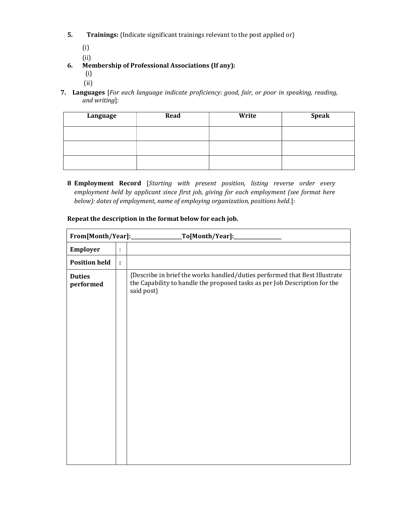- 5. Trainings: {Indicate significant trainings relevant to the post applied or}
	- (i)
	- (ii)
- 6. Membership of Professional Associations (If any):
	- (i)
	- (ii)
- 7. Languages [For each language indicate proficiency: good, fair, or poor in speaking, reading, and writing]:

| Language | Read | Write | <b>Speak</b> |
|----------|------|-------|--------------|
|          |      |       |              |
|          |      |       |              |
|          |      |       |              |

8 Employment Record [Starting with present position, listing reverse order every employment held by applicant since first job, giving for each employment (see format here below): dates of employment, name of employing organization, positions held.]:

|                            |   | _To[Month/Year]:______________                                                                                                                                         |
|----------------------------|---|------------------------------------------------------------------------------------------------------------------------------------------------------------------------|
| Employer                   | ÷ |                                                                                                                                                                        |
| <b>Position held</b>       | ÷ |                                                                                                                                                                        |
| <b>Duties</b><br>performed |   | {Describe in brief the works handled/duties performed that Best Illustrate<br>the Capability to handle the proposed tasks as per Job Description for the<br>said post} |
|                            |   |                                                                                                                                                                        |
|                            |   |                                                                                                                                                                        |

## Repeat the description in the format below for each job.